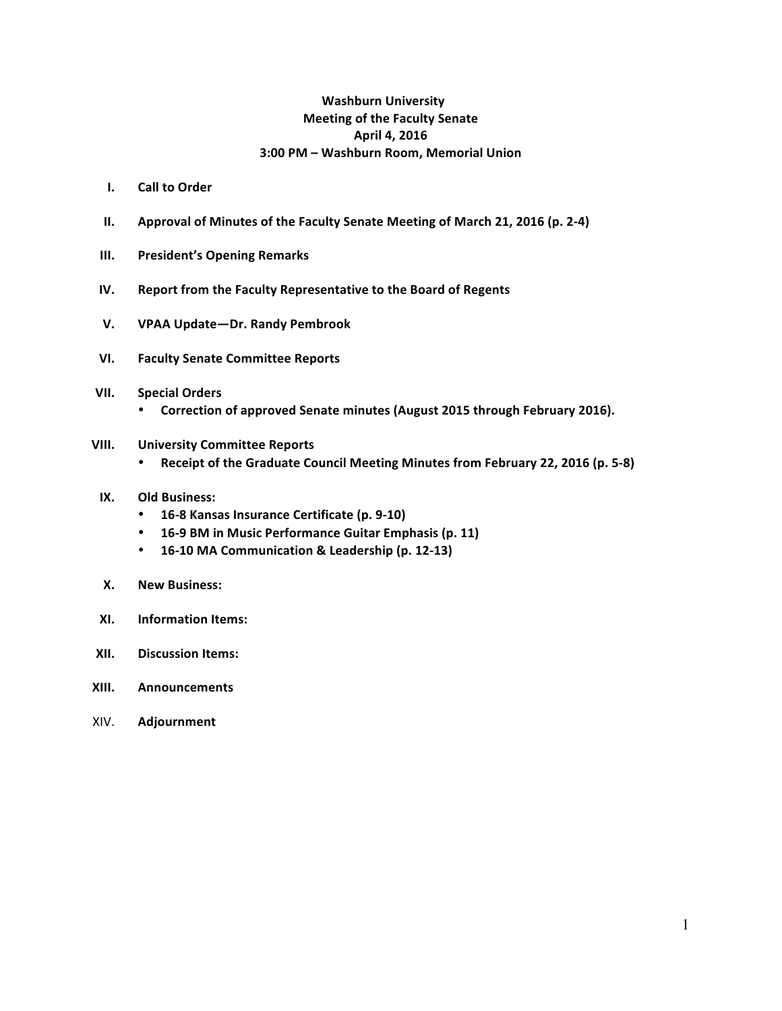### **Washburn University Meeting of the Faculty Senate April 4, 2016 3:00 PM – Washburn Room, Memorial Union**

- **I. Call to Order**
- **II.** Approval of Minutes of the Faculty Senate Meeting of March 21, 2016 (p. 2-4)
- **III.** President's Opening Remarks
- **IV.** Report from the Faculty Representative to the Board of Regents
- **V. VPAA Update—Dr. Randy Pembrook**
- **VI. Faculty Senate Committee Reports**
- **VII. Special Orders**
	- Correction of approved Senate minutes (August 2015 through February 2016).
- **VIII. University Committee Reports**
	- Receipt of the Graduate Council Meeting Minutes from February 22, 2016 (p. 5-8)
- **IX.** Old Business:
	- **16-8 Kansas Insurance Certificate (p. 9-10)**
	- **16-9 BM in Music Performance Guitar Emphasis (p. 11)**
	- **16-10 MA Communication & Leadership (p. 12-13)**
- **X. New Business:**
- **XI. Information Items:**
- **XII. Discussion Items:**
- **XIII. Announcements**
- XIV. **Adjournment**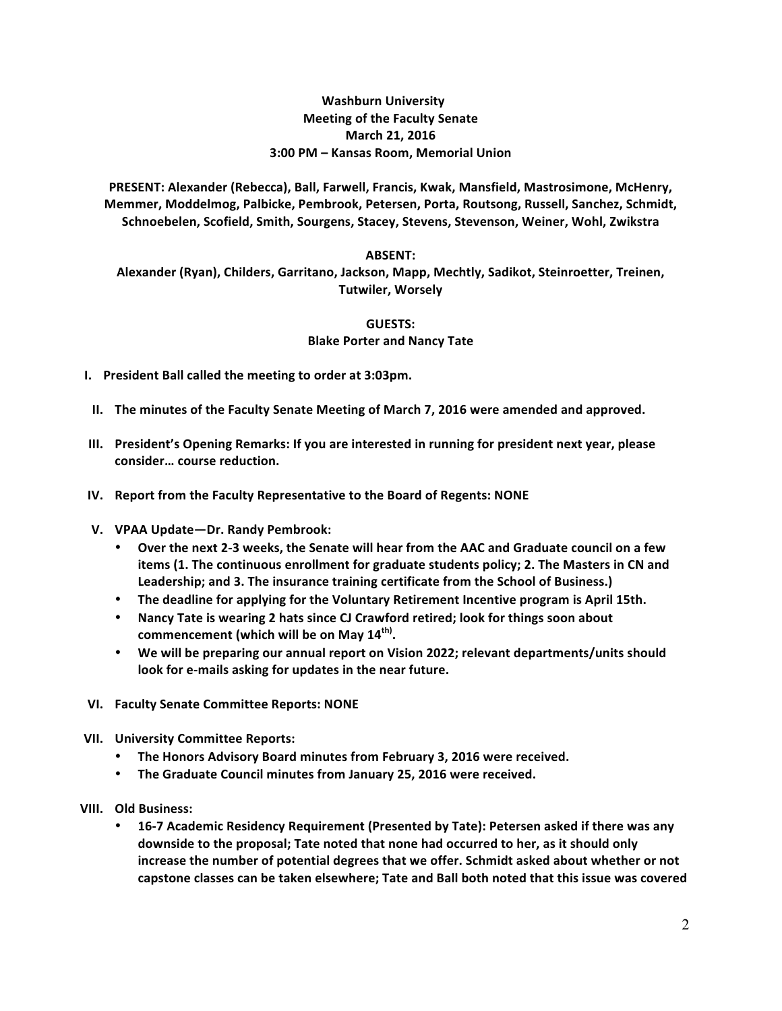### **Washburn University Meeting of the Faculty Senate March 21, 2016 3:00 PM – Kansas Room, Memorial Union**

PRESENT: Alexander (Rebecca), Ball, Farwell, Francis, Kwak, Mansfield, Mastrosimone, McHenry, Memmer, Moddelmog, Palbicke, Pembrook, Petersen, Porta, Routsong, Russell, Sanchez, Schmidt, Schnoebelen, Scofield, Smith, Sourgens, Stacey, Stevens, Stevenson, Weiner, Wohl, Zwikstra

#### **ABSENT:**

Alexander (Ryan), Childers, Garritano, Jackson, Mapp, Mechtly, Sadikot, Steinroetter, Treinen, **Tutwiler, Worsely**

#### **GUESTS:**

**Blake Porter and Nancy Tate** 

- **I.** President Ball called the meeting to order at 3:03pm.
- **II.** The minutes of the Faculty Senate Meeting of March 7, 2016 were amended and approved.
- **III.** President's Opening Remarks: If you are interested in running for president next year, please consider... course reduction.
- **IV.** Report from the Faculty Representative to the Board of Regents: NONE
- **V. VPAA Update—Dr. Randy Pembrook:**
	- Over the next 2-3 weeks, the Senate will hear from the AAC and Graduate council on a few **items (1.** The continuous enrollment for graduate students policy; 2. The Masters in CN and Leadership; and 3. The insurance training certificate from the School of Business.)
	- The deadline for applying for the Voluntary Retirement Incentive program is April 15th.
	- Nancy Tate is wearing 2 hats since CJ Crawford retired; look for things soon about  ${\sf commencerent}$  (which will be on May  $\mathbf{14}^{\sf th}$ ).
	- We will be preparing our annual report on Vision 2022; relevant departments/units should look for e-mails asking for updates in the near future.
- **VI. Faculty Senate Committee Reports: NONE**
- **VII. University Committee Reports:**
	- The Honors Advisory Board minutes from February 3, 2016 were received.
	- **The Graduate Council minutes from January 25, 2016 were received.**
- **VIII. Old Business:** 
	- 16-7 Academic Residency Requirement (Presented by Tate): Petersen asked if there was any **downside to the proposal; Tate noted that none had occurred to her, as it should only** increase the number of potential degrees that we offer. Schmidt asked about whether or not capstone classes can be taken elsewhere; Tate and Ball both noted that this issue was covered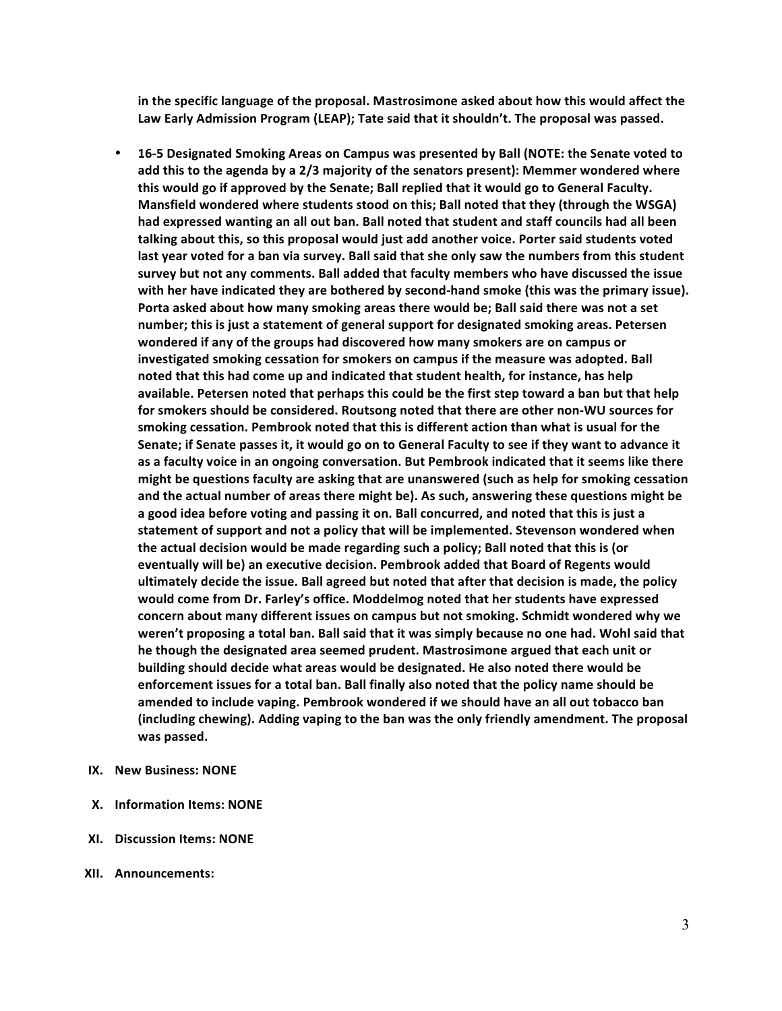in the specific language of the proposal. Mastrosimone asked about how this would affect the Law Early Admission Program (LEAP); Tate said that it shouldn't. The proposal was passed.

- 16-5 Designated Smoking Areas on Campus was presented by Ball (NOTE: the Senate voted to add this to the agenda by a 2/3 majority of the senators present): Memmer wondered where this would go if approved by the Senate; Ball replied that it would go to General Faculty. Mansfield wondered where students stood on this; Ball noted that they (through the WSGA) had expressed wanting an all out ban. Ball noted that student and staff councils had all been talking about this, so this proposal would just add another voice. Porter said students voted last year voted for a ban via survey. Ball said that she only saw the numbers from this student survey but not any comments. Ball added that faculty members who have discussed the issue with her have indicated they are bothered by second-hand smoke (this was the primary issue). Porta asked about how many smoking areas there would be; Ball said there was not a set number; this is just a statement of general support for designated smoking areas. Petersen wondered if any of the groups had discovered how many smokers are on campus or investigated smoking cessation for smokers on campus if the measure was adopted. Ball noted that this had come up and indicated that student health, for instance, has help available. Petersen noted that perhaps this could be the first step toward a ban but that help for smokers should be considered. Routsong noted that there are other non-WU sources for smoking cessation. Pembrook noted that this is different action than what is usual for the Senate; if Senate passes it, it would go on to General Faculty to see if they want to advance it as a faculty voice in an ongoing conversation. But Pembrook indicated that it seems like there might be questions faculty are asking that are unanswered (such as help for smoking cessation and the actual number of areas there might be). As such, answering these questions might be a good idea before voting and passing it on. Ball concurred, and noted that this is just a statement of support and not a policy that will be implemented. Stevenson wondered when the actual decision would be made regarding such a policy; Ball noted that this is (or eventually will be) an executive decision. Pembrook added that Board of Regents would ultimately decide the issue. Ball agreed but noted that after that decision is made, the policy would come from Dr. Farley's office. Moddelmog noted that her students have expressed concern about many different issues on campus but not smoking. Schmidt wondered why we weren't proposing a total ban. Ball said that it was simply because no one had. Wohl said that he though the designated area seemed prudent. Mastrosimone argued that each unit or building should decide what areas would be designated. He also noted there would be enforcement issues for a total ban. Ball finally also noted that the policy name should be amended to include vaping. Pembrook wondered if we should have an all out tobacco ban (including chewing). Adding vaping to the ban was the only friendly amendment. The proposal was passed.
- **IX. New Business: NONE**
- **X.** Information Items: NONE
- **XI.** Discussion Items: NONE
- **XII. Announcements:**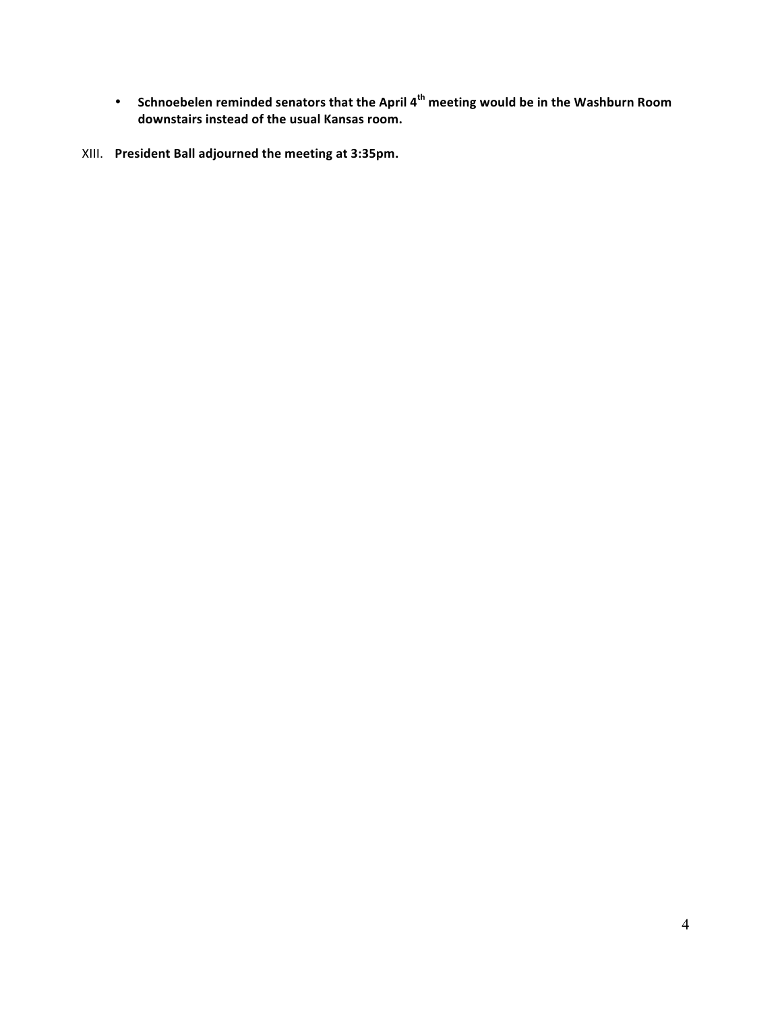- **•** Schnoebelen reminded senators that the April 4<sup>th</sup> meeting would be in the Washburn Room downstairs instead of the usual Kansas room.
- XIII. President Ball adjourned the meeting at 3:35pm.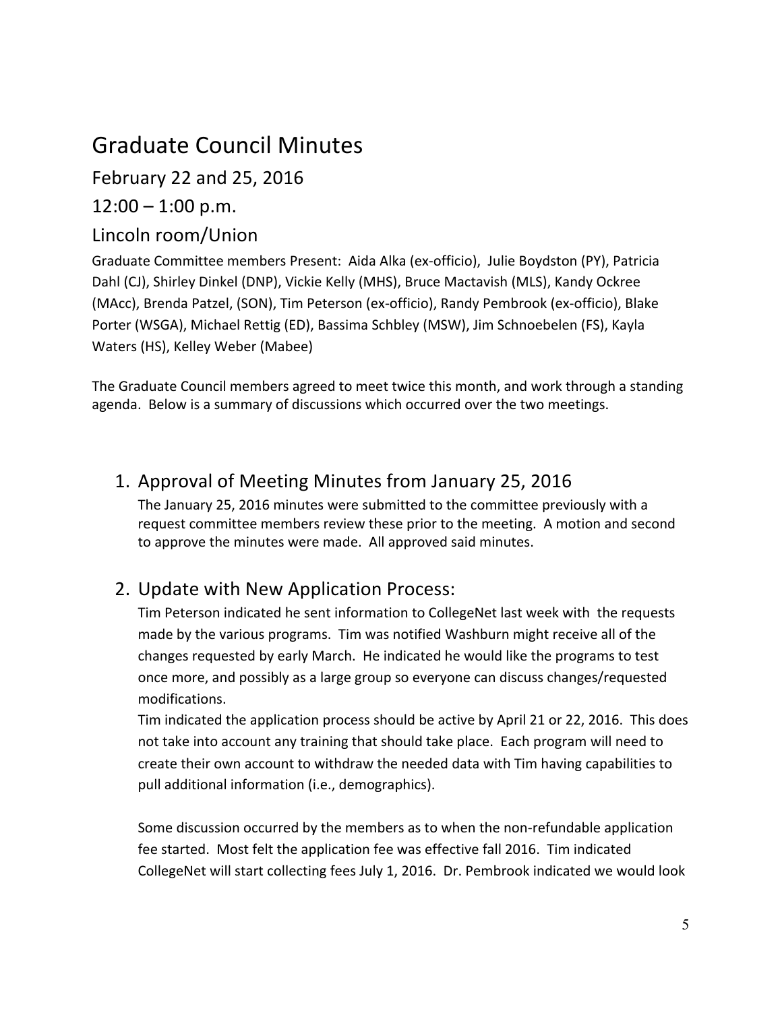# Graduate Council Minutes

February 22 and 25, 2016

 $12:00 - 1:00$  p.m.

### Lincoln room/Union

Graduate Committee members Present: Aida Alka (ex-officio), Julie Boydston (PY), Patricia Dahl (CJ), Shirley Dinkel (DNP), Vickie Kelly (MHS), Bruce Mactavish (MLS), Kandy Ockree (MAcc), Brenda Patzel, (SON), Tim Peterson (ex-officio), Randy Pembrook (ex-officio), Blake Porter (WSGA), Michael Rettig (ED), Bassima Schbley (MSW), Jim Schnoebelen (FS), Kayla Waters (HS), Kelley Weber (Mabee)

The Graduate Council members agreed to meet twice this month, and work through a standing agenda. Below is a summary of discussions which occurred over the two meetings.

## 1. Approval of Meeting Minutes from January 25, 2016

The January 25, 2016 minutes were submitted to the committee previously with a request committee members review these prior to the meeting. A motion and second to approve the minutes were made. All approved said minutes.

## 2. Update with New Application Process:

Tim Peterson indicated he sent information to CollegeNet last week with the requests made by the various programs. Tim was notified Washburn might receive all of the changes requested by early March. He indicated he would like the programs to test once more, and possibly as a large group so everyone can discuss changes/requested modifications. 

Tim indicated the application process should be active by April 21 or 22, 2016. This does not take into account any training that should take place. Each program will need to create their own account to withdraw the needed data with Tim having capabilities to pull additional information (i.e., demographics).

Some discussion occurred by the members as to when the non-refundable application fee started. Most felt the application fee was effective fall 2016. Tim indicated CollegeNet will start collecting fees July 1, 2016. Dr. Pembrook indicated we would look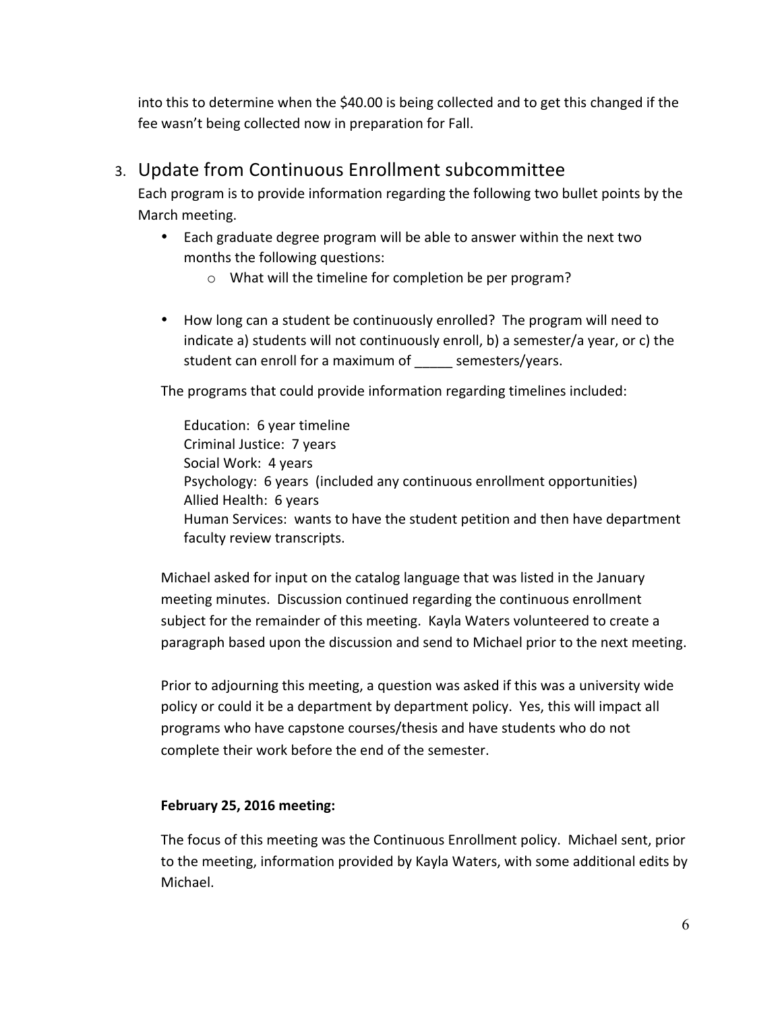into this to determine when the \$40.00 is being collected and to get this changed if the fee wasn't being collected now in preparation for Fall.

### 3. Update from Continuous Enrollment subcommittee

Each program is to provide information regarding the following two bullet points by the March meeting.

- Each graduate degree program will be able to answer within the next two months the following questions:
	- $\circ$  What will the timeline for completion be per program?
- How long can a student be continuously enrolled? The program will need to indicate a) students will not continuously enroll, b) a semester/a year, or c) the student can enroll for a maximum of semesters/years.

The programs that could provide information regarding timelines included:

Education: 6 year timeline Criminal Justice: 7 years Social Work: 4 years Psychology: 6 years (included any continuous enrollment opportunities) Allied Health: 6 years Human Services: wants to have the student petition and then have department faculty review transcripts.

Michael asked for input on the catalog language that was listed in the January meeting minutes. Discussion continued regarding the continuous enrollment subject for the remainder of this meeting. Kayla Waters volunteered to create a paragraph based upon the discussion and send to Michael prior to the next meeting.

Prior to adjourning this meeting, a question was asked if this was a university wide policy or could it be a department by department policy. Yes, this will impact all programs who have capstone courses/thesis and have students who do not complete their work before the end of the semester.

### **February 25, 2016 meeting:**

The focus of this meeting was the Continuous Enrollment policy. Michael sent, prior to the meeting, information provided by Kayla Waters, with some additional edits by Michael.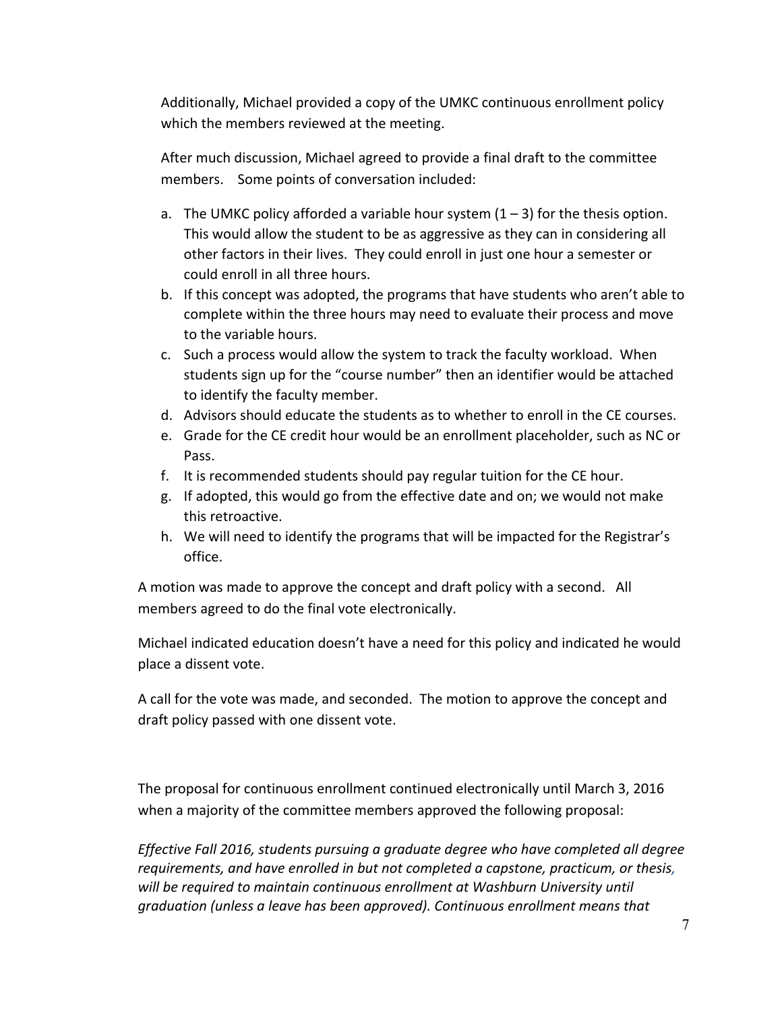Additionally, Michael provided a copy of the UMKC continuous enrollment policy which the members reviewed at the meeting.

After much discussion, Michael agreed to provide a final draft to the committee members. Some points of conversation included:

- a. The UMKC policy afforded a variable hour system  $(1 3)$  for the thesis option. This would allow the student to be as aggressive as they can in considering all other factors in their lives. They could enroll in just one hour a semester or could enroll in all three hours.
- b. If this concept was adopted, the programs that have students who aren't able to complete within the three hours may need to evaluate their process and move to the variable hours.
- c. Such a process would allow the system to track the faculty workload. When students sign up for the "course number" then an identifier would be attached to identify the faculty member.
- d. Advisors should educate the students as to whether to enroll in the CE courses.
- e. Grade for the CE credit hour would be an enrollment placeholder, such as NC or Pass.
- f. It is recommended students should pay regular tuition for the CE hour.
- g. If adopted, this would go from the effective date and on; we would not make this retroactive.
- h. We will need to identify the programs that will be impacted for the Registrar's office.

A motion was made to approve the concept and draft policy with a second. All members agreed to do the final vote electronically.

Michael indicated education doesn't have a need for this policy and indicated he would place a dissent vote.

A call for the vote was made, and seconded. The motion to approve the concept and draft policy passed with one dissent vote.

The proposal for continuous enrollment continued electronically until March 3, 2016 when a majority of the committee members approved the following proposal:

*Effective Fall 2016, students pursuing a graduate degree who have completed all degree* requirements, and have enrolled in but not completed a capstone, practicum, or thesis, will be required to maintain continuous enrollment at Washburn University until *graduation* (unless a leave has been approved). Continuous enrollment means that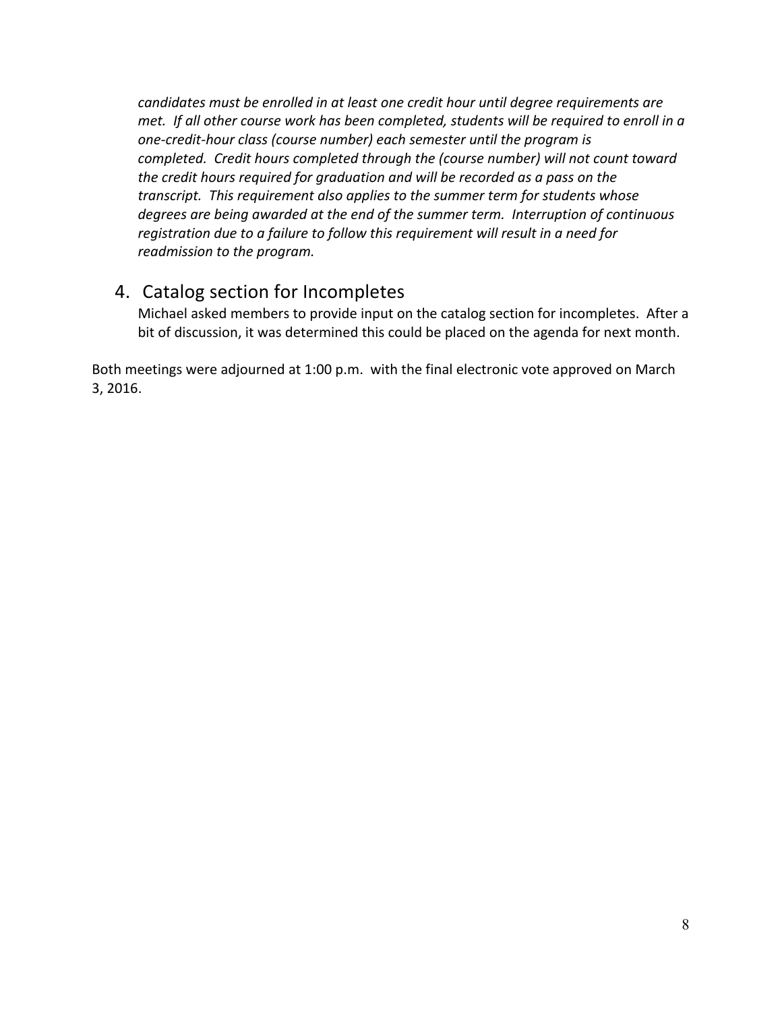candidates must be enrolled in at least one credit hour until degree requirements are *met.* If all other course work has been completed, students will be required to enroll in a one-credit-hour class (course number) each semester until the program is *completed.* Credit hours completed through the (course number) will not count toward the credit hours required for graduation and will be recorded as a pass on the transcript. This requirement also applies to the summer term for students whose degrees are being awarded at the end of the summer term. Interruption of continuous registration due to a failure to follow this requirement will result in a need for *readmission to the program.* 

### 4. Catalog section for Incompletes

Michael asked members to provide input on the catalog section for incompletes. After a bit of discussion, it was determined this could be placed on the agenda for next month.

Both meetings were adjourned at 1:00 p.m. with the final electronic vote approved on March 3, 2016.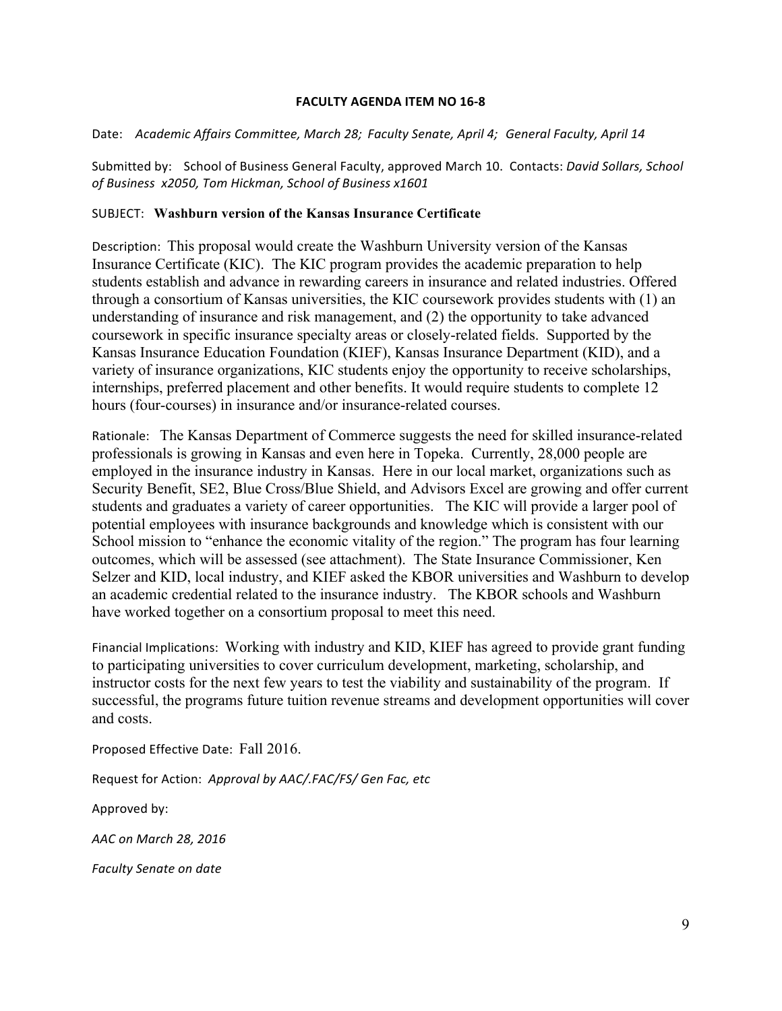### **FACULTY AGENDA ITEM NO 16-8**

Date: Academic Affairs Committee, March 28; Faculty Senate, April 4; General Faculty, April 14

Submitted by: School of Business General Faculty, approved March 10. Contacts: *David Sollars, School* of Business x2050, Tom Hickman, School of Business x1601

#### SUBJECT: **Washburn version of the Kansas Insurance Certificate**

Description: This proposal would create the Washburn University version of the Kansas Insurance Certificate (KIC). The KIC program provides the academic preparation to help students establish and advance in rewarding careers in insurance and related industries. Offered through a consortium of Kansas universities, the KIC coursework provides students with (1) an understanding of insurance and risk management, and (2) the opportunity to take advanced coursework in specific insurance specialty areas or closely-related fields. Supported by the Kansas Insurance Education Foundation (KIEF), Kansas Insurance Department (KID), and a variety of insurance organizations, KIC students enjoy the opportunity to receive scholarships, internships, preferred placement and other benefits. It would require students to complete 12 hours (four-courses) in insurance and/or insurance-related courses.

Rationale: The Kansas Department of Commerce suggests the need for skilled insurance-related professionals is growing in Kansas and even here in Topeka. Currently, 28,000 people are employed in the insurance industry in Kansas. Here in our local market, organizations such as Security Benefit, SE2, Blue Cross/Blue Shield, and Advisors Excel are growing and offer current students and graduates a variety of career opportunities. The KIC will provide a larger pool of potential employees with insurance backgrounds and knowledge which is consistent with our School mission to "enhance the economic vitality of the region." The program has four learning outcomes, which will be assessed (see attachment). The State Insurance Commissioner, Ken Selzer and KID, local industry, and KIEF asked the KBOR universities and Washburn to develop an academic credential related to the insurance industry. The KBOR schools and Washburn have worked together on a consortium proposal to meet this need.

Financial Implications: Working with industry and KID, KIEF has agreed to provide grant funding to participating universities to cover curriculum development, marketing, scholarship, and instructor costs for the next few years to test the viability and sustainability of the program. If successful, the programs future tuition revenue streams and development opportunities will cover and costs.

Proposed Effective Date: Fall 2016.

Request for Action: Approval by AAC/.FAC/FS/ Gen Fac, etc

Approved by:

*AAC on March 28, 2016*

*Faculty Senate on date*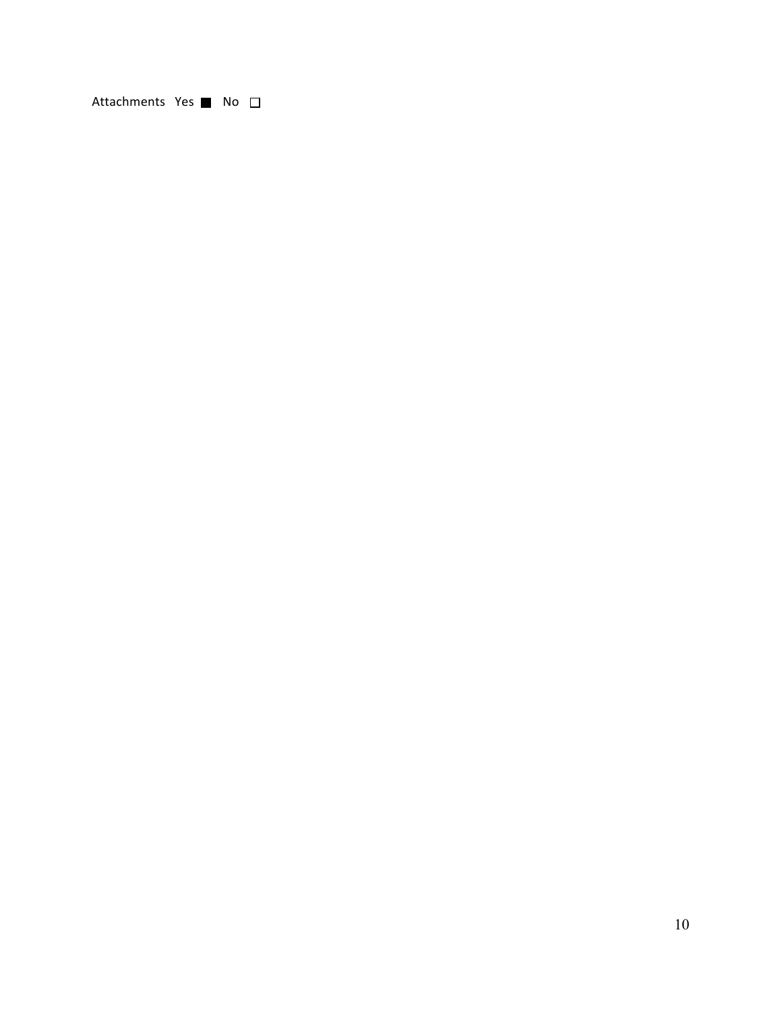Attachments Yes **No**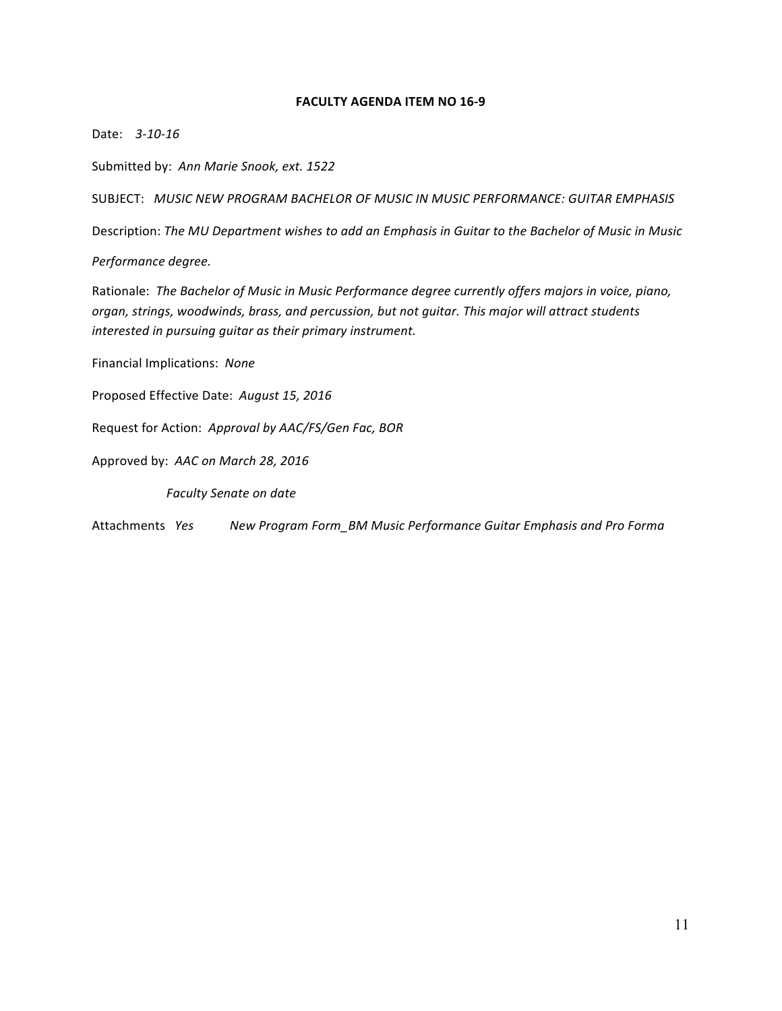### **FACULTY AGENDA ITEM NO 16-9**

Date: 3-10-16

Submitted by: Ann Marie Snook, ext. 1522

SUBJECT: *MUSIC NEW PROGRAM BACHELOR OF MUSIC IN MUSIC PERFORMANCE: GUITAR EMPHASIS*

Description: The MU Department wishes to add an Emphasis in Guitar to the Bachelor of Music in Music

*Performance degree.*

Rationale: The Bachelor of Music in Music Performance degree currently offers majors in voice, piano, organ, strings, woodwinds, brass, and percussion, but not guitar. This major will attract students interested in pursuing guitar as their primary instrument.

Financial Implications: None

Proposed Effective Date: *August 15, 2016*

Request for Action: Approval by AAC/FS/Gen Fac, BOR

Approved by: AAC on March 28, 2016

**Faculty Senate on date** 

Attachments *Yes* **New Program Form\_BM Music Performance Guitar Emphasis and Pro Forma**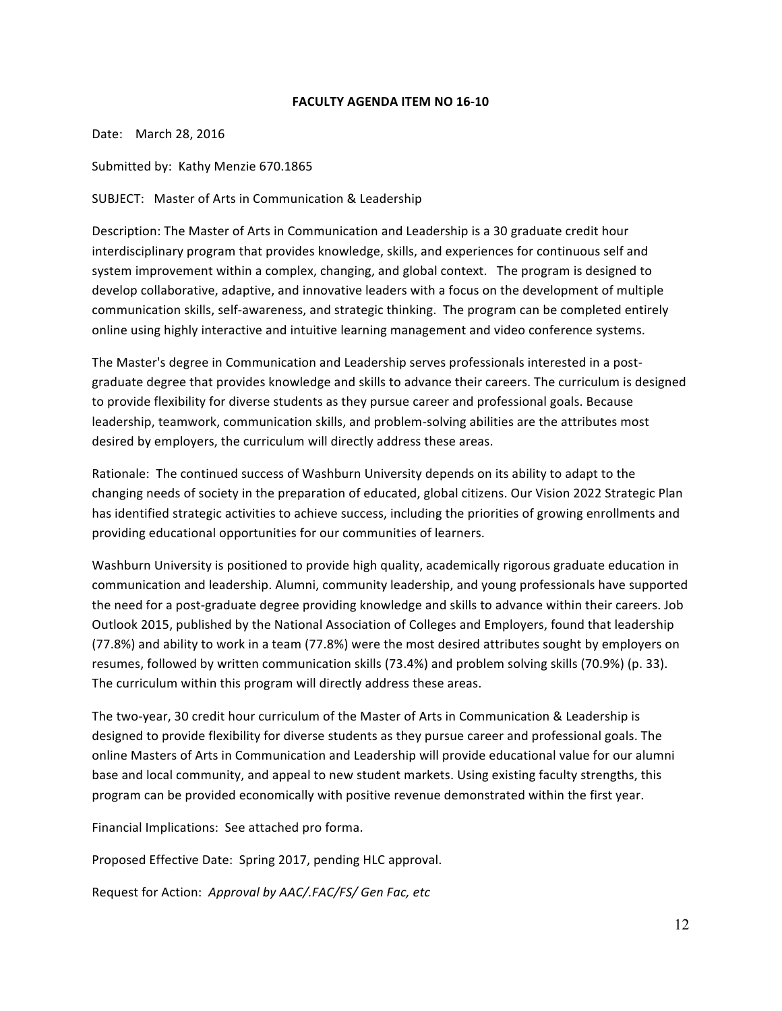#### **FACULTY AGENDA ITEM NO 16-10**

Date: March 28, 2016

Submitted by: Kathy Menzie 670.1865

SUBJECT: Master of Arts in Communication & Leadership

Description: The Master of Arts in Communication and Leadership is a 30 graduate credit hour interdisciplinary program that provides knowledge, skills, and experiences for continuous self and system improvement within a complex, changing, and global context. The program is designed to develop collaborative, adaptive, and innovative leaders with a focus on the development of multiple communication skills, self-awareness, and strategic thinking. The program can be completed entirely online using highly interactive and intuitive learning management and video conference systems.

The Master's degree in Communication and Leadership serves professionals interested in a postgraduate degree that provides knowledge and skills to advance their careers. The curriculum is designed to provide flexibility for diverse students as they pursue career and professional goals. Because leadership, teamwork, communication skills, and problem-solving abilities are the attributes most desired by employers, the curriculum will directly address these areas.

Rationale: The continued success of Washburn University depends on its ability to adapt to the changing needs of society in the preparation of educated, global citizens. Our Vision 2022 Strategic Plan has identified strategic activities to achieve success, including the priorities of growing enrollments and providing educational opportunities for our communities of learners.

Washburn University is positioned to provide high quality, academically rigorous graduate education in communication and leadership. Alumni, community leadership, and young professionals have supported the need for a post-graduate degree providing knowledge and skills to advance within their careers. Job Outlook 2015, published by the National Association of Colleges and Employers, found that leadership (77.8%) and ability to work in a team (77.8%) were the most desired attributes sought by employers on resumes, followed by written communication skills (73.4%) and problem solving skills (70.9%) (p. 33). The curriculum within this program will directly address these areas.

The two-year, 30 credit hour curriculum of the Master of Arts in Communication & Leadership is designed to provide flexibility for diverse students as they pursue career and professional goals. The online Masters of Arts in Communication and Leadership will provide educational value for our alumni base and local community, and appeal to new student markets. Using existing faculty strengths, this program can be provided economically with positive revenue demonstrated within the first year.

Financial Implications: See attached pro forma.

Proposed Effective Date: Spring 2017, pending HLC approval.

Request for Action: Approval by AAC/.FAC/FS/ Gen Fac, etc